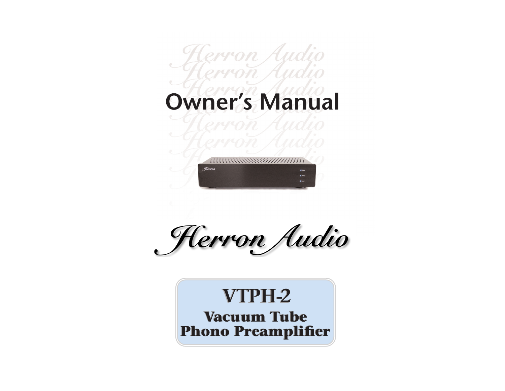# cerron Audio<br>erron Audio **Owner's Manual**



Herron Audio

# **Vacuum Tube Vacuum Tube Phono Preamplifier VTPH-2**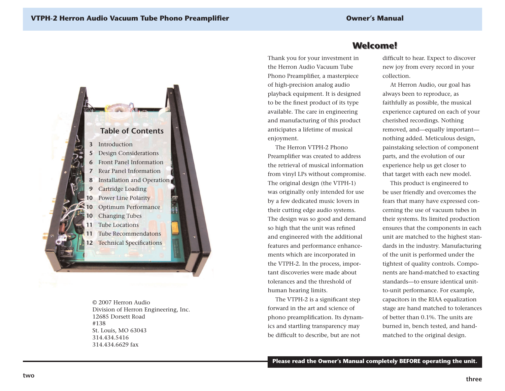

© 2007 Herron AudioDivision of Herron Engineering, Inc. 12685 Dorsett Road#138St. Louis, MO 63043 314.434.5416314.434.6629 fax

# **Welcome! Welcome!**

Thank you for your investment in the Herron Audio Vacuum TubePhono Preamplifier, a masterpiece of high-precision analog audio playback equipment. It is designed to be the finest product of its type available. The care in engineering and manufacturing of this product anticipates a lifetime of musical enjoyment.

The Herron VTPH-2 Phono Preamplifier was created to address the retrieval of musical informationfrom vinyl LPs without compromise. The original design (the VTPH-1) was originally only intended for use by a few dedicated music lovers in their cutting edge audio systems. The design was so good and demand so high that the unit was refined and engineered with the additional features and performance enhancements which are incorporated in the VTPH-2. In the process, important discoveries were made abouttolerances and the threshold ofhuman hearing limits.

The VTPH-2 is a significant step forward in the art and science ofphono preamplification. Its dynamics and startling transparency may be difficult to describe, but are not

difficult to hear. Expect to discover new joy from every record in your collection.

At Herron Audio, our goal has always been to reproduce, as faithfully as possible, the musical experience captured on each of your cherished recordings. Nothing removed, and—equally important nothing added. Meticulous design, painstaking selection of component parts, and the evolution of our experience help us get closer to that target with each new model.

This product is engineered to be user friendly and overcomes the fears that many have expressed concerning the use of vacuum tubes in their systems. Its limited production ensures that the components in each unit are matched to the highest standards in the industry. Manufacturing of the unit is performed under the tightest of quality controls. Components are hand-matched to exacting standards—to ensure identical unitto-unit performance. For example, capacitors in the RIAA equalization stage are hand matched to tolerances of better than 0.1%. The units areburned in, bench tested, and handmatched to the original design.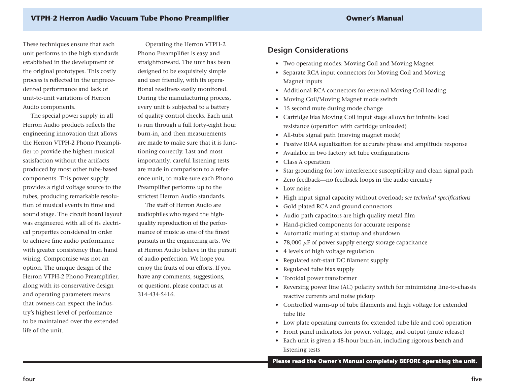#### **Owner's Manual**

These techniques ensure that each unit performs to the high standards established in the development of the original prototypes. This costly process is reflected in the unprecedented performance and lack of unit-to-unit variations of HerronAudio components.

The special power supply in all Herron Audio products reflects the engineering innovation that allows the Herron VTPH-2 Phono Preamplifier to provide the highest musical satisfaction without the artifacts produced by most other tube-based components. This power supply provides a rigid voltage source to the tubes, producing remarkable resolution of musical events in time andsound stage. The circuit board layout was engineered with all of its electrical properties considered in order to achieve fine audio performance with greater consistency than hand wiring. Compromise was not an option. The unique design of the Herron VTPH-2 Phono Preamplifier, along with its conservative design and operating parameters means that owners can expect the industry's highest level of performance to be maintained over the extendedlife of the unit.

Operating the Herron VTPH-2 Phono Preamplifier is easy and straightforward. The unit has been designed to be exquisitely simple and user friendly, with its operational readiness easily monitored. During the manufacturing process, every unit is subjected to a battery of quality control checks. Each unit is run through a full forty-eight hour burn-in, and then measurements are made to make sure that it is functioning correctly. Last and most importantly, careful listening tests are made in comparison to a reference unit, to make sure each Phono Preamplifier performs up to the strictest Herron Audio standards.

The staff of Herron Audio are audiophiles who regard the highquality reproduction of the performance of music as one of the finestpursuits in the engineering arts. We at Herron Audio believe in the pursuit of audio perfection. We hope you enjoy the fruits of our efforts. If you have any comments, suggestions, or questions, please contact us at 314-434-5416.

#### **Design Considerations**

- Two operating modes: Moving Coil and Moving Magnet
- Separate RCA input connectors for Moving Coil and Moving Magnet inputs
- Additional RCA connectors for external Moving Coil loading
- •Moving Coil/Moving Magnet mode switch
- 15 second mute during mode change
- Cartridge bias Moving Coil input stage allows for infinite load resistance (operation with cartridge unloaded)
- All-tube signal path (moving magnet mode)
- Passive RIAA equalization for accurate phase and amplitude response
- Available in two factory set tube configurations
- Class A operation
- Star grounding for low interference susceptibility and clean signal path
- Zero feedback—no feedback loops in the audio circuitry
- Low noise
- High input signal capacity without overload; *see technical specifications*
- Gold plated RCA and ground connectors
- Audio path capacitors are high quality metal film
- •Hand-picked components for accurate response
- Automatic muting at startup and shutdown
- 78,000  $\mu$ F of power supply energy storage capacitance
- 4 levels of high voltage regulation
- •Regulated soft-start DC filament supply
- •Regulated tube bias supply
- •Toroidal power transformer
- Reversing power line (AC) polarity switch for minimizing line-to-chassis reactive currents and noise pickup
- Controlled warm-up of tube filaments and high voltage for extended tube life
- Low plate operating currents for extended tube life and cool operation
- Front panel indicators for power, voltage, and output (mute release)
- Each unit is given a 48-hour burn-in, including rigorous bench and listening tests

**Please read the Owner's Manual completely BEFORE operating the unit.**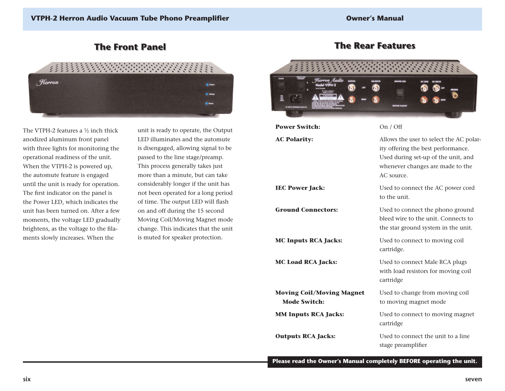# **The Front Panel The Front Panel**



The VTPH-2 features a  $\frac{1}{2}$  inch thick anodized aluminum front panel with three lights for monitoring the operational readiness of the unit. When the VTPH-2 is powered up, the automute feature is engaged until the unit is ready for operation. The first indicator on the panel is the Power LED, which indicates the unit has been turned on. After a fewmoments, the voltage LED gradually brightens, as the voltage to the filaments slowly increases. When the

unit is ready to operate, the Output LED illuminates and the automute is disengaged, allowing signal to be passed to the line stage/preamp. This process generally takes just more than a minute, but can take considerably longer if the unit has not been operated for a long period of time. The output LED will flash on and off during the 15 second Moving Coil/Moving Magnet mode change. This indicates that the unit is muted for speaker protection.

# **The Rear Features The Rear Features**



**Please read the Owner's Manual completely BEFORE operating the unit.**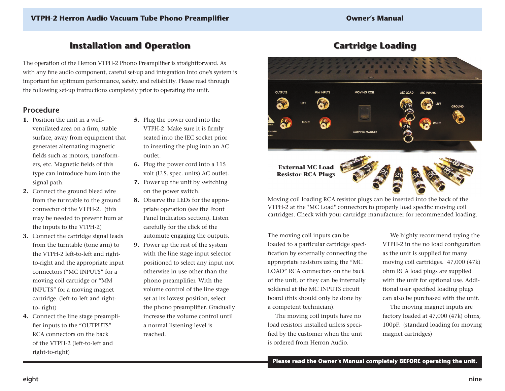## **Installation and Operation Installation and Operation**

The operation of the Herron VTPH-2 Phono Preamplifier is straightforward. As with any fine audio component, careful set-up and integration into one's system is important for optimum performance, safety, and reliability. Please read through the following set-up instructions completely prior to operating the unit.

#### **Procedure**

- **1.** Position the unit in a wellventilated area on a firm, stable surface, away from equipment that generates alternating magnetic fields such as motors, transformers, etc. Magnetic fields of this type can introduce hum into the signal path.
- **2.** Connect the ground bleed wire from the turntable to the ground connector of the VTPH-2. (this may be needed to prevent hum at the inputs to the VTPH-2)
- **3.** Connect the cartridge signal leads from the turntable (tone arm) to the VTPH-2 left-to-left and rightto-right and the appropriate input connectors ("MC INPUTS" for a moving coil cartridge or "MM INPUTS" for a moving magnet cartridge. (left-to-left and rightto- right)
- **4.** Connect the line stage preamplifier inputs to the "OUTPUTS" RCA connectors on the back of the VTPH-2 (left-to-left and right-to-right)
- **5.** Plug the power cord into the VTPH-2. Make sure it is firmly seated into the IEC socket prior to inserting the plug into an AC outlet.
- **6.** Plug the power cord into a 115 volt (U.S. spec. units) AC outlet.
- **7.** Power up the unit by switching on the power switch.
- **8.** Observe the LEDs for the appropriate operation (see the Front Panel Indicators section). Listen carefully for the click of the automute engaging the outputs.
- **9.** Power up the rest of the system with the line stage input selector positioned to select any input not otherwise in use other than thephono preamplifier. With the volume control of the line stage set at its lowest position, select the phono preamplifier. Gradually increase the volume control untila normal listening level is reached.

# **Cartridge Loading Cartridge Loading**



Moving coil loading RCA resistor plugs can be inserted into the back of the VTPH-2 at the "MC Load" connectors to properly load specific moving coil cartridges. Check with your cartridge manufacturer for recommended loading.

The moving coil inputs can be loaded to a particular cartridge specification by externally connecting the appropriate resistors using the "MC LOAD" RCA connectors on the backof the unit, or they can be internally soldered at the MC INPUTS circuitboard (this should only be done by a competent technician).

The moving coil inputs have no load resistors installed unless specified by the customer when the unit is ordered from Herron Audio.

We highly recommend trying the VTPH-2 in the no load configuration as the unit is supplied for many moving coil cartridges. 47,000 (47k) ohm RCA load plugs are supplied with the unit for optional use. Additional user specified loading plugs can also be purchased with the unit.

The moving magnet inputs are factory loaded at 47,000 (47k) ohms, 100pF. (standard loading for moving magnet cartridges)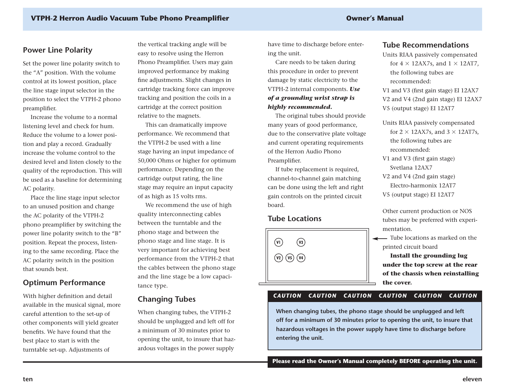## **Power Line Polarity**

Set the power line polarity switch to the "A" position. With the volume control at its lowest position, place the line stage input selector in the position to select the VTPH-2 phono preamplifier.

Increase the volume to a normallistening level and check for hum. Reduce the volume to a lower position and play a record. Gradually increase the volume control to thedesired level and listen closely to the quality of the reproduction. This will be used as a baseline for determining AC polarity.

Place the line stage input selector to an unused position and change the AC polarity of the VTPH-2 phono preamplifier by switching the power line polarity switch to the "B" position. Repeat the process, listening to the same recording. Place the AC polarity switch in the position that sounds best.

#### **Optimum Performance**

With higher definition and detail available in the musical signal, more careful attention to the set-up of other components will yield greater benefits. We have found that thebest place to start is with the turntable set-up. Adjustments of

the vertical tracking angle will be easy to resolve using the Herron Phono Preamplifier. Users may gain improved performance by making fine adjustments. Slight changes in cartridge tracking force can improve tracking and position the coils in a cartridge at the correct position relative to the magnets.

This can dramatically improve performance. We recommend that the VTPH-2 be used with a line stage having an input impedance of 50,000 Ohms or higher for optimum performance. Depending on the cartridge output rating, the line stage may require an input capacity of as high as 15 volts rms.

We recommend the use of high quality interconnecting cables between the turntable and the phono stage and between the phono stage and line stage. It is very important for achieving best performance from the VTPH-2 that the cables between the phono stage and the line stage be a low capacitance type.

#### **Changing Tubes**

When changing tubes, the VTPH-2 should be unplugged and left off for a minimum of 30 minutes prior to opening the unit, to insure that hazardous voltages in the power supply

have time to discharge before entering the unit.

Care needs to be taken during this procedure in order to prevent damage by static electricity to the VTPH-2 internal components. *Use of a grounding wrist strap is highly recommended.*

The original tubes should provide many years of good performance, due to the conservative plate voltage and current operating requirements of the Herron Audio Phono Preamplifier.

If tube replacement is required, channel-to-channel gain matching can be done using the left and right gain controls on the printed circuit board.

#### **Tube Locations**



#### **Tube Recommendations**

Units RIAA passively compensated for 4  $\times$  12AX7s, and 1  $\times$  12AT7, the following tubes are recommended:V1 and V3 (first gain stage) EI 12AX7

V2 and V4 (2nd gain stage) EI 12AX7 V5 (output stage) EI 12AT7

Units RIAA passively compensated for 2  $\times$  12AX7s, and 3  $\times$  12AT7s, the following tubes are recommended:

V1 and V3 (first gain stage) Svetlana 12AX7

V2 and V4 (2nd gain stage) Electro-harmonix 12AT7V5 (output stage) EI 12AT7

Other current production or NOS tubes may be preferred with experimentation.

Tube locations as marked on theprinted circuit board

**Install the grounding lug under the top screw at the rear of the chassis when reinstalling the cover.**

#### *CAUTION CAUTION CAUTION CAUTION CAUTION CAUTION*

**When changing tubes, the phono stage should be unplugged and left off for a minimum of 30 minutes prior to opening the unit, to insure that hazardous voltages in the power supply have time to discharge before entering the unit.**

**Please read the Owner's Manual completely BEFORE operating the unit.**